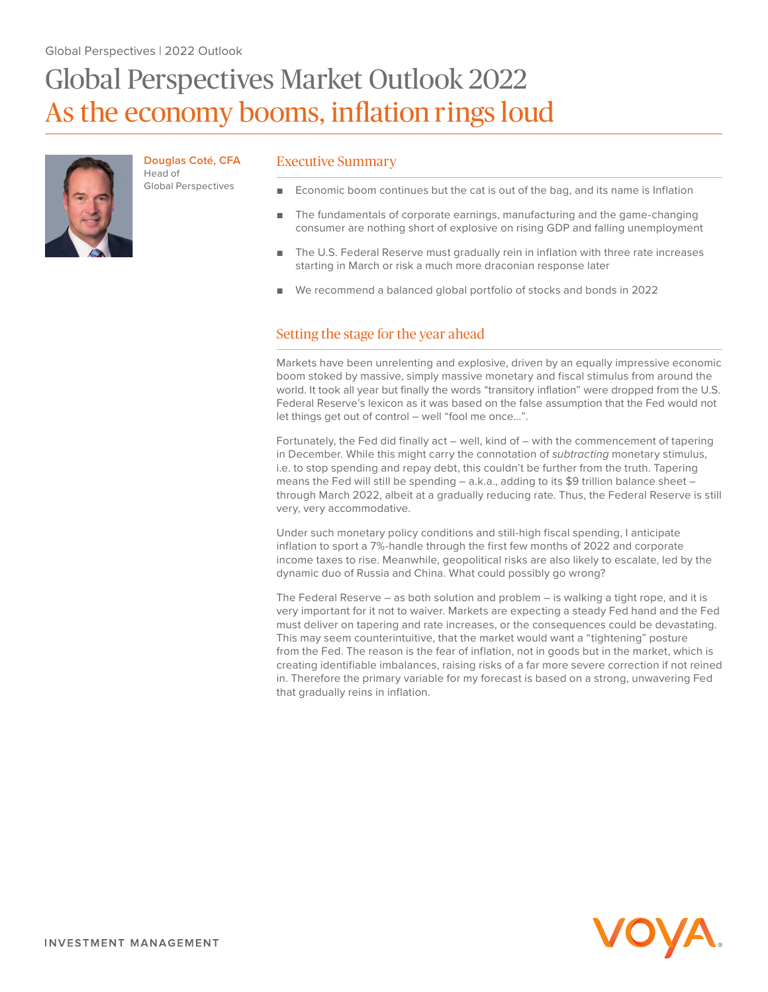# Global Perspectives Market Outlook 2022 As the economy booms, inflation rings loud



**Douglas Coté, CFA** Head of Global Perspectives

## Executive Summary

- Economic boom continues but the cat is out of the bag, and its name is Inflation
- The fundamentals of corporate earnings, manufacturing and the game-changing consumer are nothing short of explosive on rising GDP and falling unemployment
- The U.S. Federal Reserve must gradually rein in inflation with three rate increases starting in March or risk a much more draconian response later
- We recommend a balanced global portfolio of stocks and bonds in 2022

# Setting the stage for the year ahead

Markets have been unrelenting and explosive, driven by an equally impressive economic boom stoked by massive, simply massive monetary and fiscal stimulus from around the world. It took all year but finally the words "transitory inflation" were dropped from the U.S. Federal Reserve's lexicon as it was based on the false assumption that the Fed would not let things get out of control – well "fool me once…".

Fortunately, the Fed did finally act – well, kind of – with the commencement of tapering in December. While this might carry the connotation of *subtracting* monetary stimulus, i.e. to stop spending and repay debt, this couldn't be further from the truth. Tapering means the Fed will still be spending – a.k.a., adding to its \$9 trillion balance sheet – through March 2022, albeit at a gradually reducing rate. Thus, the Federal Reserve is still very, very accommodative.

Under such monetary policy conditions and still-high fiscal spending, I anticipate inflation to sport a 7%-handle through the first few months of 2022 and corporate income taxes to rise. Meanwhile, geopolitical risks are also likely to escalate, led by the dynamic duo of Russia and China. What could possibly go wrong?

The Federal Reserve – as both solution and problem – is walking a tight rope, and it is very important for it not to waiver. Markets are expecting a steady Fed hand and the Fed must deliver on tapering and rate increases, or the consequences could be devastating. This may seem counterintuitive, that the market would want a "tightening" posture from the Fed. The reason is the fear of inflation, not in goods but in the market, which is creating identifiable imbalances, raising risks of a far more severe correction if not reined in. Therefore the primary variable for my forecast is based on a strong, unwavering Fed that gradually reins in inflation.

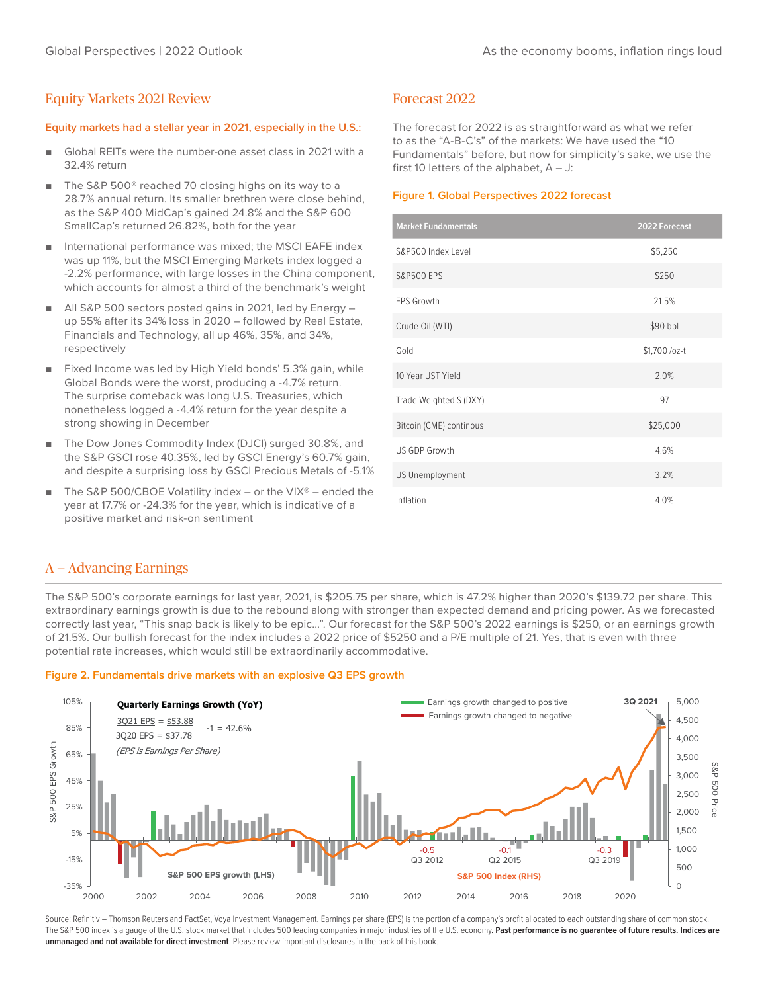## Equity Markets 2021 Review

## **Equity markets had a stellar year in 2021, especially in the U.S.:**

- Global REITs were the number-one asset class in 2021 with a 32.4% return
- The S&P 500<sup>®</sup> reached 70 closing highs on its way to a 28.7% annual return. Its smaller brethren were close behind, as the S&P 400 MidCap's gained 24.8% and the S&P 600 SmallCap's returned 26.82%, both for the year
- International performance was mixed; the MSCI EAFE index was up 11%, but the MSCI Emerging Markets index logged a -2.2% performance, with large losses in the China component, which accounts for almost a third of the benchmark's weight
- All S&P 500 sectors posted gains in 2021, led by Energy up 55% after its 34% loss in 2020 – followed by Real Estate, Financials and Technology, all up 46%, 35%, and 34%, respectively
- Fixed Income was led by High Yield bonds' 5.3% gain, while Global Bonds were the worst, producing a -4.7% return. The surprise comeback was long U.S. Treasuries, which nonetheless logged a -4.4% return for the year despite a strong showing in December
- The Dow Jones Commodity Index (DJCI) surged 30.8%, and the S&P GSCI rose 40.35%, led by GSCI Energy's 60.7% gain, and despite a surprising loss by GSCI Precious Metals of -5.1%
- The S&P 500/CBOE Volatility index or the VIX® ended the year at 17.7% or -24.3% for the year, which is indicative of a positive market and risk-on sentiment

## Forecast 2022

The forecast for 2022 is as straightforward as what we refer to as the "A-B-C's" of the markets: We have used the "10 Fundamentals" before, but now for simplicity's sake, we use the first 10 letters of the alphabet,  $A - J$ :

## **Figure 1. Global Perspectives 2022 forecast**

| <b>Market Fundamentals</b> | 2022 Forecast |  |
|----------------------------|---------------|--|
| S&P500 Index Level         | \$5,250       |  |
| <b>S&amp;P500 EPS</b>      | \$250         |  |
| <b>EPS Growth</b>          | 21.5%         |  |
| Crude Oil (WTI)            | \$90 bbl      |  |
| Gold                       | \$1,700 /oz-t |  |
| 10 Year UST Yield          | 2.0%          |  |
| Trade Weighted \$ (DXY)    | 97            |  |
| Bitcoin (CME) continous    | \$25,000      |  |
| US GDP Growth              | 4.6%          |  |
| <b>US Unemployment</b>     | 3.2%          |  |
| Inflation                  | 4.0%          |  |

# A — Advancing Earnings

The S&P 500's corporate earnings for last year, 2021, is \$205.75 per share, which is 47.2% higher than 2020's \$139.72 per share. This extraordinary earnings growth is due to the rebound along with stronger than expected demand and pricing power. As we forecasted correctly last year, "This snap back is likely to be epic…". Our forecast for the S&P 500's 2022 earnings is \$250, or an earnings growth of 21.5%. Our bullish forecast for the index includes a 2022 price of \$5250 and a P/E multiple of 21. Yes, that is even with three potential rate increases, which would still be extraordinarily accommodative.

## **Figure 2. Fundamentals drive markets with an explosive Q3 EPS growth**



Source: Refinitiv - Thomson Reuters and FactSet, Voya Investment Management. Earnings per share (EPS) is the portion of a company's profit allocated to each outstanding share of common stock. The S&P 500 index is a gauge of the U.S. stock market that includes 500 leading companies in major industries of the U.S. economy. **Past performance is no guarantee of future results. Indices are unmanaged and not available for direct investment**. Please review important disclosures in the back of this book.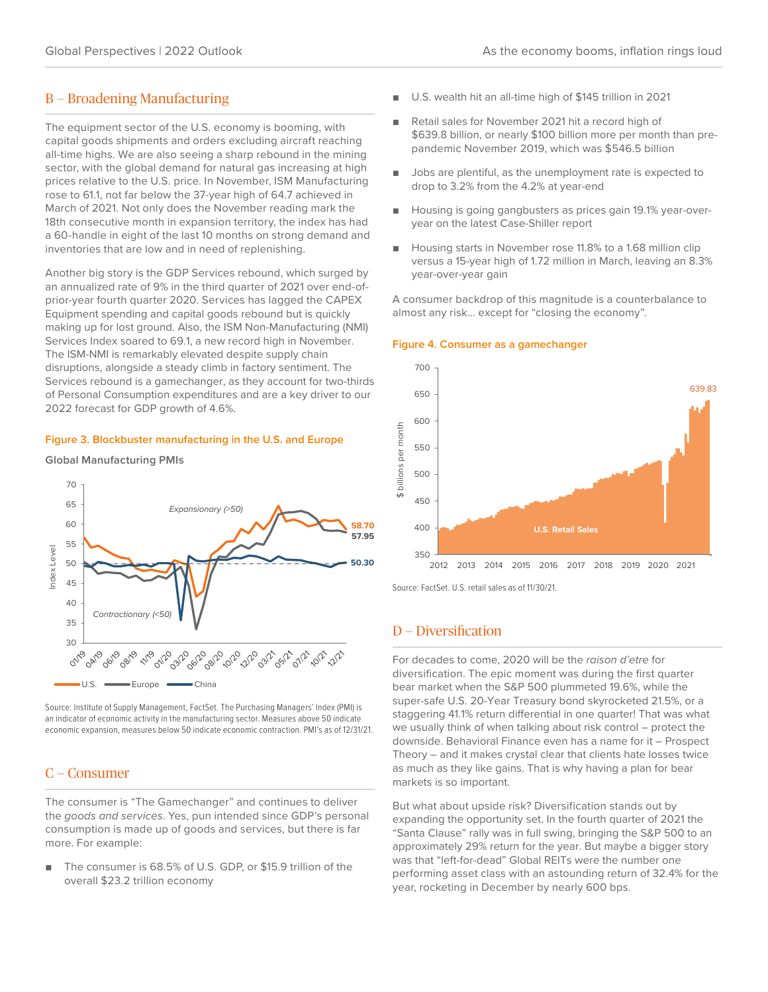## B — Broadening Manufacturing

The equipment sector of the U.S. economy is booming, with capital goods shipments and orders excluding aircraft reaching all-time highs. We are also seeing a sharp rebound in the mining sector, with the global demand for natural gas increasing at high prices relative to the U.S. price. In November, ISM Manufacturing rose to 61.1, not far below the 37-year high of 64.7 achieved in March of 2021. Not only does the November reading mark the 18th consecutive month in expansion territory, the index has had a 60-handle in eight of the last 10 months on strong demand and inventories that are low and in need of replenishing.

Another big story is the GDP Services rebound, which surged by an annualized rate of 9% in the third quarter of 2021 over end-ofprior-year fourth quarter 2020. Services has lagged the CAPEX Equipment spending and capital goods rebound but is quickly making up for lost ground. Also, the ISM Non-Manufacturing (NMI) Services Index soared to 69.1, a new record high in November. The ISM-NMI is remarkably elevated despite supply chain disruptions, alongside a steady climb in factory sentiment. The Services rebound is a gamechanger, as they account for two-thirds of Personal Consumption expenditures and are a key driver to our 2022 forecast for GDP growth of 4.6%.

## **Figure 3. Blockbuster manufacturing in the U.S. and Europe**

#### **Global Manufacturing PMIs**



Source: Institute of Supply Management, FactSet. The Purchasing Managers' Index (PMI) is an indicator of economic activity in the manufacturing sector. Measures above 50 indicate economic expansion, measures below 50 indicate economic contraction. PMI's as of 12/31/21.

# C — Consumer

The consumer is "The Gamechanger" and continues to deliver the *goods and services*. Yes, pun intended since GDP's personal consumption is made up of goods and services, but there is far more. For example:

■ The consumer is 68.5% of U.S. GDP, or \$15.9 trillion of the overall \$23.2 trillion economy

- U.S. wealth hit an all-time high of \$145 trillion in 2021
- Retail sales for November 2021 hit a record high of \$639.8 billion, or nearly \$100 billion more per month than prepandemic November 2019, which was \$546.5 billion
- Jobs are plentiful, as the unemployment rate is expected to drop to 3.2% from the 4.2% at year-end
- Housing is going gangbusters as prices gain 19.1% year-overyear on the latest Case-Shiller report
- Housing starts in November rose 11.8% to a 1.68 million clip versus a 15-year high of 1.72 million in March, leaving an 8.3% year-over-year gain

A consumer backdrop of this magnitude is a counterbalance to almost any risk… except for "closing the economy".

#### **Figure 4. Consumer as a gamechanger**



Source: FactSet. U.S. retail sales as of 11/30/21.

## D — Diversification

For decades to come, 2020 will be the *raison d'etre* for diversification. The epic moment was during the first quarter bear market when the S&P 500 plummeted 19.6%, while the super-safe U.S. 20-Year Treasury bond skyrocketed 21.5%, or a staggering 41.1% return differential in one quarter! That was what we usually think of when talking about risk control – protect the downside. Behavioral Finance even has a name for it – Prospect Theory – and it makes crystal clear that clients hate losses twice as much as they like gains. That is why having a plan for bear markets is so important.

But what about upside risk? Diversification stands out by expanding the opportunity set. In the fourth quarter of 2021 the "Santa Clause" rally was in full swing, bringing the S&P 500 to an approximately 29% return for the year. But maybe a bigger story was that "left-for-dead" Global REITs were the number one performing asset class with an astounding return of 32.4% for the year, rocketing in December by nearly 600 bps.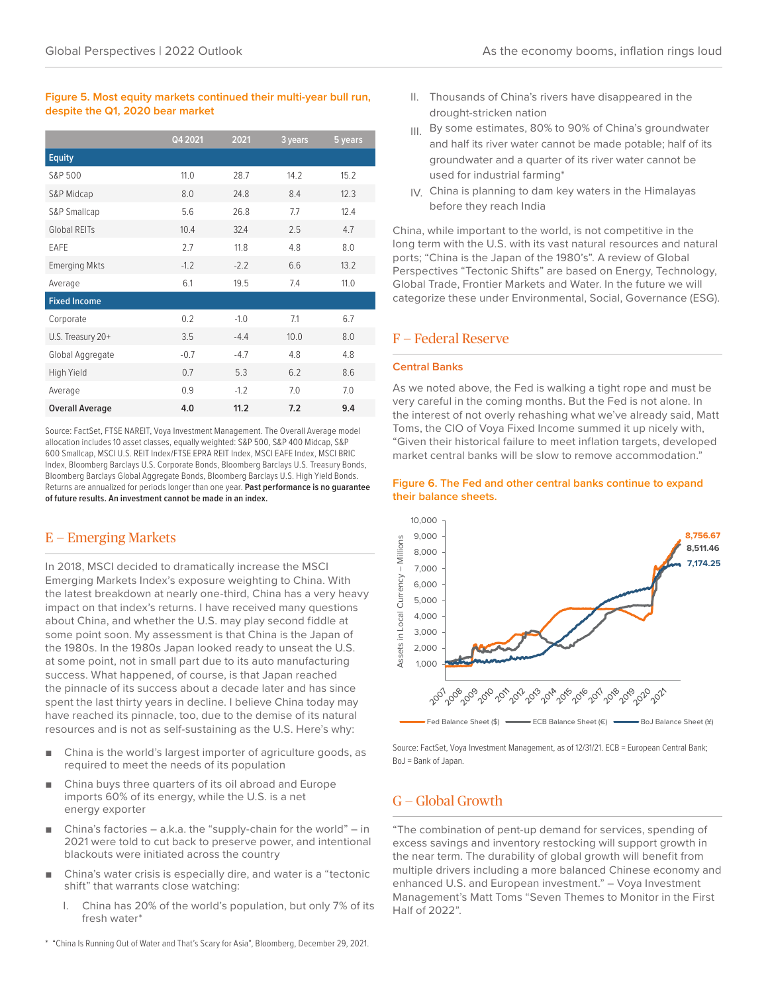## Global Perspectives | 2022 Outlook As the economy booms, inflation rings loud

## **Figure 5. Most equity markets continued their multi-year bull run, despite the Q1, 2020 bear market**

|                        | Q4 2021 | 2021   | 3 years | 5 years |
|------------------------|---------|--------|---------|---------|
| <b>Equity</b>          |         |        |         |         |
| S&P 500                | 11.0    | 28.7   | 14.2    | 15.2    |
| S&P Midcap             | 8.0     | 24.8   | 8.4     | 12.3    |
| S&P Smallcap           | 5.6     | 26.8   | 7.7     | 12.4    |
| <b>Global REITs</b>    | 10.4    | 32.4   | 2.5     | 4.7     |
| <b>EAFE</b>            | 2.7     | 11.8   | 4.8     | 8.0     |
| <b>Emerging Mkts</b>   | $-1.2$  | $-2.2$ | 6.6     | 13.2    |
| Average                | 6.1     | 19.5   | 7.4     | 11.0    |
| <b>Fixed Income</b>    |         |        |         |         |
| Corporate              | 0.2     | $-1.0$ | 7.1     | 6.7     |
| U.S. Treasury 20+      | 3.5     | $-4.4$ | 10.0    | 8.0     |
| Global Aggregate       | $-0.7$  | $-4.7$ | 4.8     | 4.8     |
| High Yield             | 0.7     | 5.3    | 6.2     | 8.6     |
| Average                | 0.9     | $-1.2$ | 7.0     | 7.0     |
| <b>Overall Average</b> | 4.0     | 11.2   | 7.2     | 9.4     |

Source: FactSet, FTSE NAREIT, Voya Investment Management. The Overall Average model allocation includes 10 asset classes, equally weighted: S&P 500, S&P 400 Midcap, S&P 600 Smallcap, MSCI U.S. REIT Index/FTSE EPRA REIT Index, MSCI EAFE Index, MSCI BRIC Index, Bloomberg Barclays U.S. Corporate Bonds, Bloomberg Barclays U.S. Treasury Bonds, Bloomberg Barclays Global Aggregate Bonds, Bloomberg Barclays U.S. High Yield Bonds. Returns are annualized for periods longer than one year. **Past performance is no guarantee of future results. An investment cannot be made in an index.**

# E — Emerging Markets

In 2018, MSCI decided to dramatically increase the MSCI Emerging Markets Index's exposure weighting to China. With the latest breakdown at nearly one-third, China has a very heavy impact on that index's returns. I have received many questions about China, and whether the U.S. may play second fiddle at some point soon. My assessment is that China is the Japan of the 1980s. In the 1980s Japan looked ready to unseat the U.S. at some point, not in small part due to its auto manufacturing success. What happened, of course, is that Japan reached the pinnacle of its success about a decade later and has since spent the last thirty years in decline. I believe China today may have reached its pinnacle, too, due to the demise of its natural resources and is not as self-sustaining as the U.S. Here's why:

- China is the world's largest importer of agriculture goods, as required to meet the needs of its population
- China buys three quarters of its oil abroad and Europe imports 60% of its energy, while the U.S. is a net energy exporter
- China's factories a.k.a. the "supply-chain for the world" in 2021 were told to cut back to preserve power, and intentional blackouts were initiated across the country
- China's water crisis is especially dire, and water is a "tectonic shift" that warrants close watching:
	- China has 20% of the world's population, but only 7% of its fresh water\*
- \* "China Is Running Out of Water and That's Scary for Asia", Bloomberg, December 29, 2021.
- II. Thousands of China's rivers have disappeared in the drought-stricken nation
- III. By some estimates, 80% to 90% of China's groundwater and half its river water cannot be made potable; half of its groundwater and a quarter of its river water cannot be used for industrial farming\*
- IV. China is planning to dam key waters in the Himalayas before they reach India

China, while important to the world, is not competitive in the long term with the U.S. with its vast natural resources and natural ports; "China is the Japan of the 1980's". A review of Global Perspectives "Tectonic Shifts" are based on Energy, Technology, Global Trade, Frontier Markets and Water. In the future we will categorize these under Environmental, Social, Governance (ESG).

## F — Federal Reserve

## **Central Banks**

As we noted above, the Fed is walking a tight rope and must be very careful in the coming months. But the Fed is not alone. In the interest of not overly rehashing what we've already said, Matt Toms, the CIO of Voya Fixed Income summed it up nicely with, "Given their historical failure to meet inflation targets, developed market central banks will be slow to remove accommodation."

## **Figure 6. The Fed and other central banks continue to expand their balance sheets.**



Source: FactSet, Voya Investment Management, as of 12/31/21. ECB = European Central Bank; BoJ = Bank of Japan.

# G — Global Growth

"The combination of pent-up demand for services, spending of excess savings and inventory restocking will support growth in the near term. The durability of global growth will benefit from multiple drivers including a more balanced Chinese economy and enhanced U.S. and European investment." – Voya Investment Management's Matt Toms "Seven Themes to Monitor in the First Half of 2022".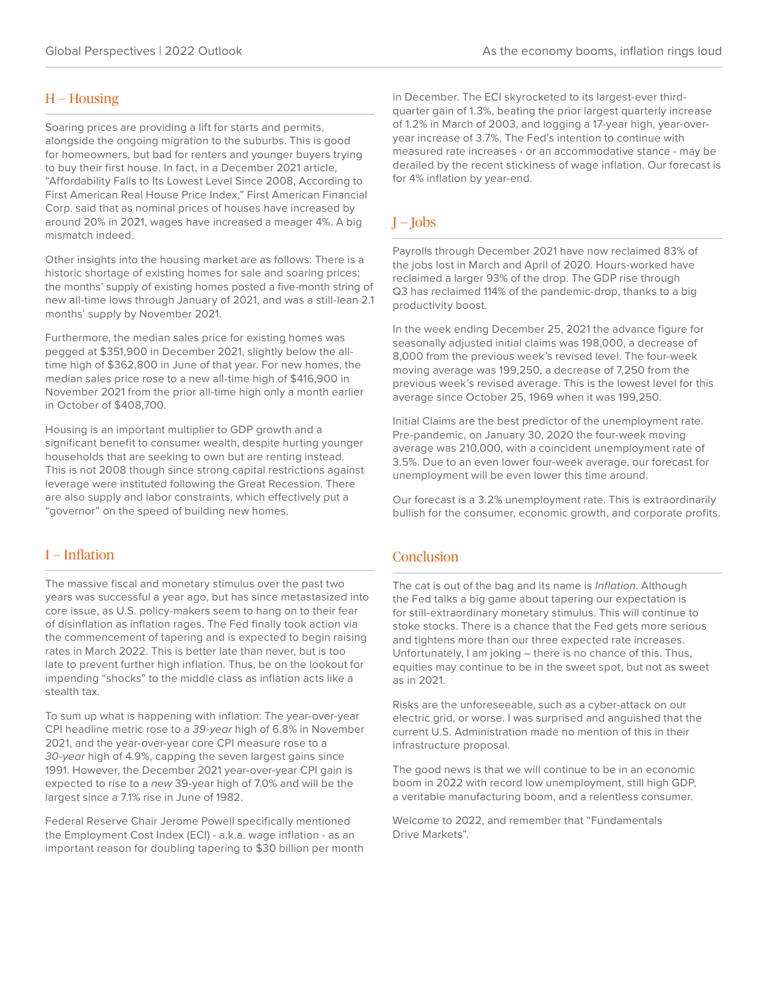## $H - H$ ousing

Soaring prices are providing a lift for starts and permits, alongside the ongoing migration to the suburbs. This is good for homeowners, but bad for renters and younger buyers trying to buy their first house. In fact, in a December 2021 article, "Affordability Falls to Its Lowest Level Since 2008, According to First American Real House Price Index," First American Financial Corp. said that as nominal prices of houses have increased by around 20% in 2021, wages have increased a meager 4%. A big mismatch indeed.

Other insights into the housing market are as follows: There is a historic shortage of existing homes for sale and soaring prices; the months' supply of existing homes posted a five-month string of new all-time lows through January of 2021, and was a still-lean 2.1 months' supply by November 2021.

Furthermore, the median sales price for existing homes was pegged at \$351,900 in December 2021, slightly below the alltime high of \$362,800 in June of that year. For new homes, the median sales price rose to a new all-time high of \$416,900 in November 2021 from the prior all-time high only a month earlier in October of \$408,700.

Housing is an important multiplier to GDP growth and a significant benefit to consumer wealth, despite hurting younger households that are seeking to own but are renting instead. This is not 2008 though since strong capital restrictions against leverage were instituted following the Great Recession. There are also supply and labor constraints, which effectively put a "governor" on the speed of building new homes.

# I — Inflation

The massive fiscal and monetary stimulus over the past two years was successful a year ago, but has since metastasized into core issue, as U.S. policy-makers seem to hang on to their fear of disinflation as inflation rages. The Fed finally took action via the commencement of tapering and is expected to begin raising rates in March 2022. This is better late than never, but is too late to prevent further high inflation. Thus, be on the lookout for impending "shocks" to the middle class as inflation acts like a stealth tax.

To sum up what is happening with inflation: The year-over-year CPI headline metric rose to a *39-year* high of 6.8% in November 2021, and the year-over-year core CPI measure rose to a *30-year* high of 4.9%, capping the seven largest gains since 1991. However, the December 2021 year-over-year CPI gain is expected to rise to a *new* 39-year high of 7.0% and will be the largest since a 7.1% rise in June of 1982.

Federal Reserve Chair Jerome Powell specifically mentioned the Employment Cost Index (ECI) - a.k.a. wage inflation - as an important reason for doubling tapering to \$30 billion per month in December. The ECI skyrocketed to its largest-ever thirdquarter gain of 1.3%, beating the prior largest quarterly increase of 1.2% in March of 2003, and logging a 17-year high, year-overyear increase of 3.7%. The Fed's intention to continue with measured rate increases - or an accommodative stance - may be derailed by the recent stickiness of wage inflation. Our forecast is for 4% inflation by year-end.

# $I - Iobs$

Payrolls through December 2021 have now reclaimed 83% of the jobs lost in March and April of 2020. Hours-worked have reclaimed a larger 93% of the drop. The GDP rise through Q3 has reclaimed 114% of the pandemic-drop, thanks to a big productivity boost.

In the week ending December 25, 2021 the advance figure for seasonally adjusted initial claims was 198,000, a decrease of 8,000 from the previous week's revised level. The four-week moving average was 199,250, a decrease of 7,250 from the previous week's revised average. This is the lowest level for this average since October 25, 1969 when it was 199,250.

Initial Claims are the best predictor of the unemployment rate. Pre-pandemic, on January 30, 2020 the four-week moving average was 210,000, with a coincident unemployment rate of 3.5%. Due to an even lower four-week average, our forecast for unemployment will be even lower this time around.

Our forecast is a 3.2% unemployment rate. This is extraordinarily bullish for the consumer, economic growth, and corporate profits.

## **Conclusion**

The cat is out of the bag and its name is *Inflation*. Although the Fed talks a big game about tapering our expectation is for still-extraordinary monetary stimulus. This will continue to stoke stocks. There is a chance that the Fed gets more serious and tightens more than our three expected rate increases. Unfortunately, I am joking – there is no chance of this. Thus, equities may continue to be in the sweet spot, but not as sweet as in 2021.

Risks are the unforeseeable, such as a cyber-attack on our electric grid, or worse. I was surprised and anguished that the current U.S. Administration made no mention of this in their infrastructure proposal.

The good news is that we will continue to be in an economic boom in 2022 with record low unemployment, still high GDP, a veritable manufacturing boom, and a relentless consumer.

Welcome to 2022, and remember that "Fundamentals Drive Markets".